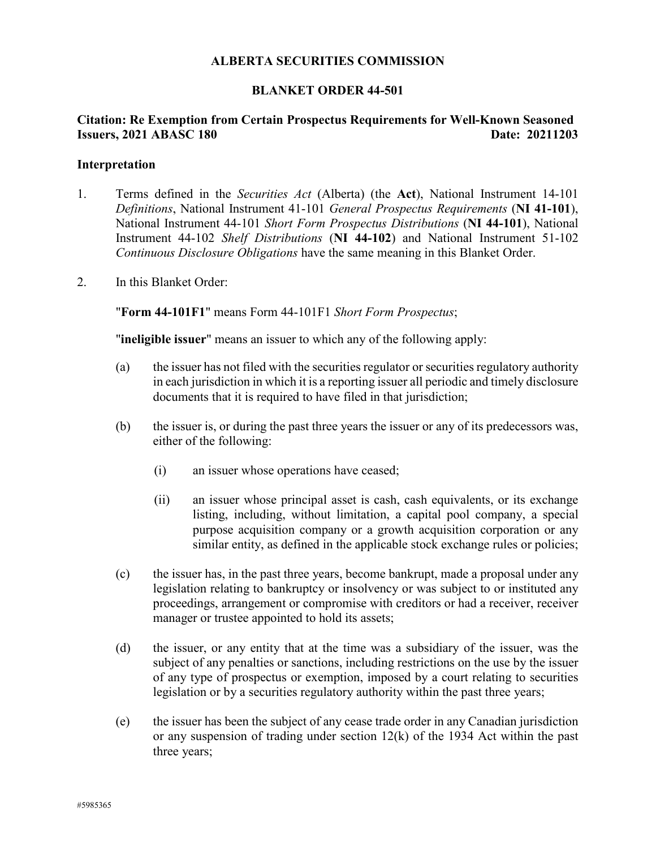### **ALBERTA SECURITIES COMMISSION**

#### **BLANKET ORDER 44-501**

## **Citation: Re Exemption from Certain Prospectus Requirements for Well-Known Seasoned Issuers, 2021 ABASC 180 Date: 20211203**

#### **Interpretation**

- 1. Terms defined in the *Securities Act* (Alberta) (the **Act**), National Instrument 14-101 *Definitions*, National Instrument 41-101 *General Prospectus Requirements* (**NI 41-101**), National Instrument 44-101 *Short Form Prospectus Distributions* (**NI 44-101**), National Instrument 44-102 *Shelf Distributions* (**NI 44-102**) and National Instrument 51-102 *Continuous Disclosure Obligations* have the same meaning in this Blanket Order.
- 2. In this Blanket Order:

"**Form 44-101F1**" means Form 44-101F1 *Short Form Prospectus*;

"**ineligible issuer**" means an issuer to which any of the following apply:

- (a) the issuer has not filed with the securities regulator or securities regulatory authority in each jurisdiction in which it is a reporting issuer all periodic and timely disclosure documents that it is required to have filed in that jurisdiction;
- (b) the issuer is, or during the past three years the issuer or any of its predecessors was, either of the following:
	- (i) an issuer whose operations have ceased;
	- (ii) an issuer whose principal asset is cash, cash equivalents, or its exchange listing, including, without limitation, a capital pool company, a special purpose acquisition company or a growth acquisition corporation or any similar entity, as defined in the applicable stock exchange rules or policies;
- (c) the issuer has, in the past three years, become bankrupt, made a proposal under any legislation relating to bankruptcy or insolvency or was subject to or instituted any proceedings, arrangement or compromise with creditors or had a receiver, receiver manager or trustee appointed to hold its assets;
- (d) the issuer, or any entity that at the time was a subsidiary of the issuer, was the subject of any penalties or sanctions, including restrictions on the use by the issuer of any type of prospectus or exemption, imposed by a court relating to securities legislation or by a securities regulatory authority within the past three years;
- (e) the issuer has been the subject of any cease trade order in any Canadian jurisdiction or any suspension of trading under section 12(k) of the 1934 Act within the past three years;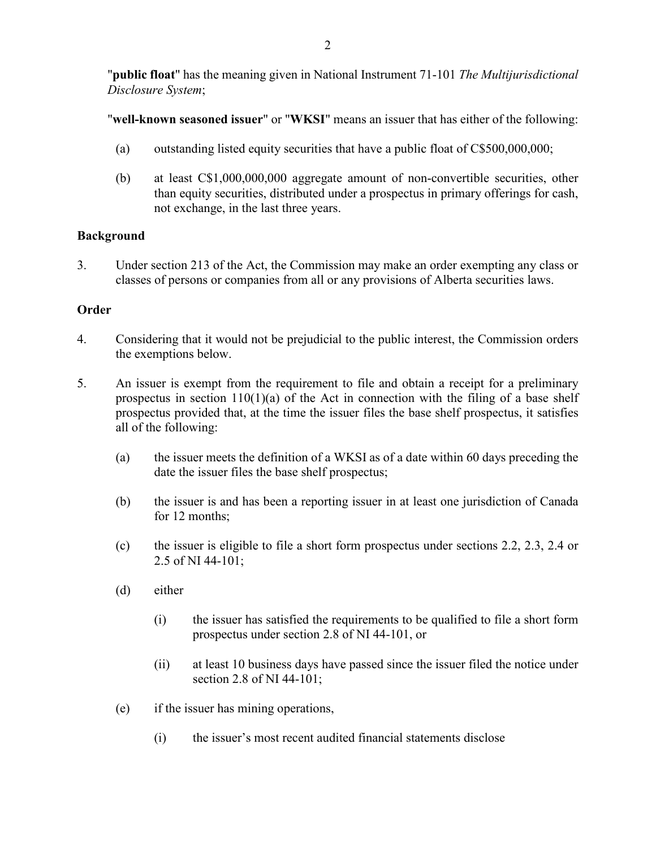"**public float**" has the meaning given in National Instrument 71-101 *The Multijurisdictional Disclosure System*;

"**well-known seasoned issuer**" or "**WKSI**" means an issuer that has either of the following:

- (a) outstanding listed equity securities that have a public float of C\$500,000,000;
- (b) at least C\$1,000,000,000 aggregate amount of non-convertible securities, other than equity securities, distributed under a prospectus in primary offerings for cash, not exchange, in the last three years.

# **Background**

3. Under section 213 of the Act, the Commission may make an order exempting any class or classes of persons or companies from all or any provisions of Alberta securities laws.

# **Order**

- 4. Considering that it would not be prejudicial to the public interest, the Commission orders the exemptions below.
- <span id="page-1-0"></span>5. An issuer is exempt from the requirement to file and obtain a receipt for a preliminary prospectus in section  $110(1)(a)$  of the Act in connection with the filing of a base shelf prospectus provided that, at the time the issuer files the base shelf prospectus, it satisfies all of the following:
	- (a) the issuer meets the definition of a WKSI as of a date within 60 days preceding the date the issuer files the base shelf prospectus;
	- (b) the issuer is and has been a reporting issuer in at least one jurisdiction of Canada for 12 months;
	- (c) the issuer is eligible to file a short form prospectus under sections 2.2, 2.3, 2.4 or 2.5 of NI 44-101;
	- (d) either
		- (i) the issuer has satisfied the requirements to be qualified to file a short form prospectus under section 2.8 of NI 44-101, or
		- (ii) at least 10 business days have passed since the issuer filed the notice under section 2.8 of NI 44-101;
	- (e) if the issuer has mining operations,
		- (i) the issuer's most recent audited financial statements disclose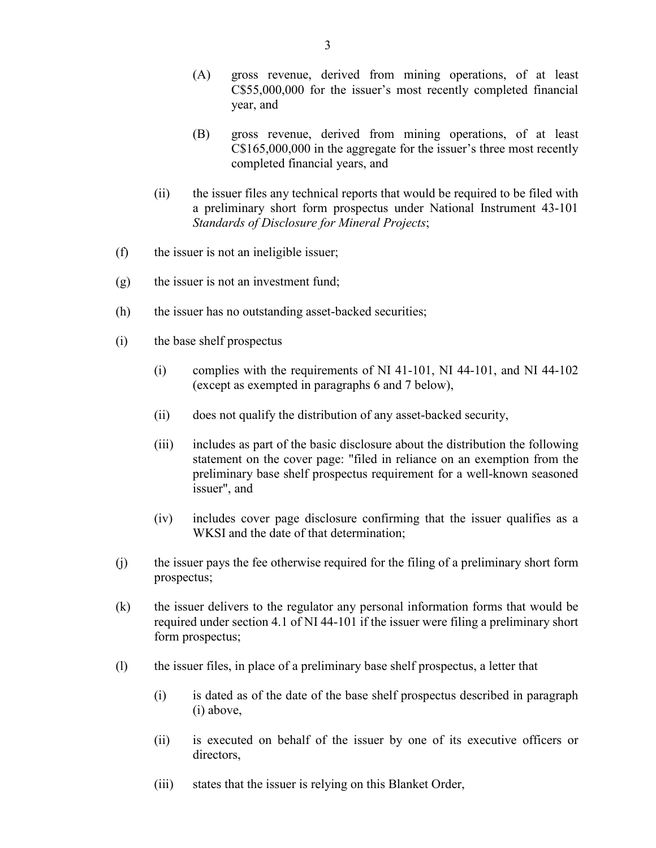- (A) gross revenue, derived from mining operations, of at least C\$55,000,000 for the issuer's most recently completed financial year, and
- (B) gross revenue, derived from mining operations, of at least C\$165,000,000 in the aggregate for the issuer's three most recently completed financial years, and
- (ii) the issuer files any technical reports that would be required to be filed with a preliminary short form prospectus under National Instrument 43-101 *Standards of Disclosure for Mineral Projects*;
- (f) the issuer is not an ineligible issuer;
- (g) the issuer is not an investment fund;
- (h) the issuer has no outstanding asset-backed securities;
- <span id="page-2-0"></span>(i) the base shelf prospectus
	- (i) complies with the requirements of NI 41-101, NI 44-101, and NI 44-102 (except as exempted in paragraphs [6](#page-3-0) and 7 below),
	- (ii) does not qualify the distribution of any asset-backed security,
	- (iii) includes as part of the basic disclosure about the distribution the following statement on the cover page: "filed in reliance on an exemption from the preliminary base shelf prospectus requirement for a well-known seasoned issuer", and
	- (iv) includes cover page disclosure confirming that the issuer qualifies as a WKSI and the date of that determination;
- (j) the issuer pays the fee otherwise required for the filing of a preliminary short form prospectus;
- (k) the issuer delivers to the regulator any personal information forms that would be required under section 4.1 of NI 44-101 if the issuer were filing a preliminary short form prospectus;
- (l) the issuer files, in place of a preliminary base shelf prospectus, a letter that
	- (i) is dated as of the date of the base shelf prospectus described in paragraph [\(i\)](#page-2-0) above,
	- (ii) is executed on behalf of the issuer by one of its executive officers or directors,
	- (iii) states that the issuer is relying on this Blanket Order,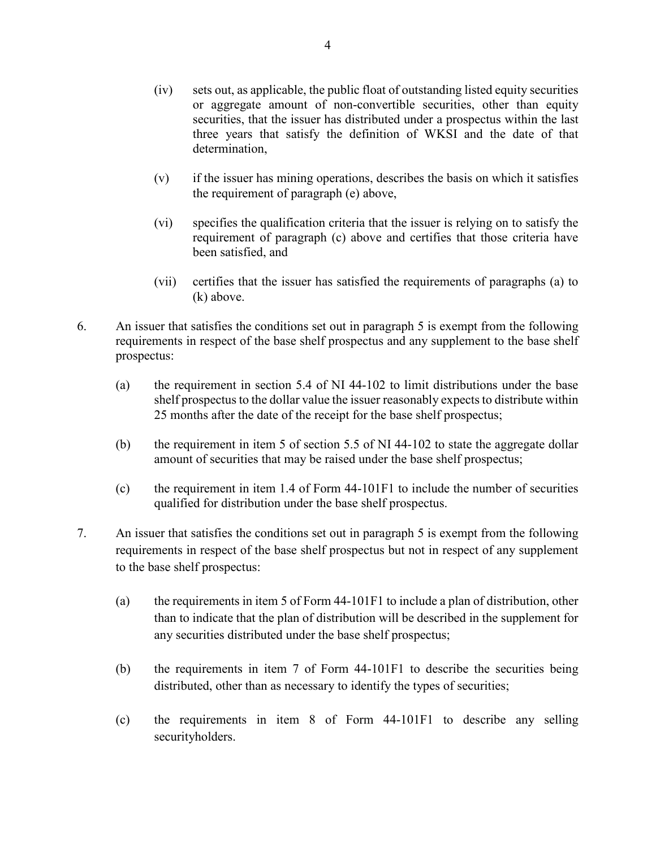- (iv) sets out, as applicable, the public float of outstanding listed equity securities or aggregate amount of non-convertible securities, other than equity securities, that the issuer has distributed under a prospectus within the last three years that satisfy the definition of WKSI and the date of that determination,
- (v) if the issuer has mining operations, describes the basis on which it satisfies the requirement of paragraph (e) above,
- (vi) specifies the qualification criteria that the issuer is relying on to satisfy the requirement of paragraph (c) above and certifies that those criteria have been satisfied, and
- (vii) certifies that the issuer has satisfied the requirements of paragraphs [\(a\)](#page-1-0) to (k) above.
- <span id="page-3-0"></span>6. An issuer that satisfies the conditions set out in paragraph 5 is exempt from the following requirements in respect of the base shelf prospectus and any supplement to the base shelf prospectus:
	- (a) the requirement in section 5.4 of NI 44-102 to limit distributions under the base shelf prospectus to the dollar value the issuer reasonably expects to distribute within 25 months after the date of the receipt for the base shelf prospectus;
	- (b) the requirement in item 5 of section 5.5 of NI 44-102 to state the aggregate dollar amount of securities that may be raised under the base shelf prospectus;
	- (c) the requirement in item 1.4 of Form 44-101F1 to include the number of securities qualified for distribution under the base shelf prospectus.
- 7. An issuer that satisfies the conditions set out in paragraph 5 is exempt from the following requirements in respect of the base shelf prospectus but not in respect of any supplement to the base shelf prospectus:
	- (a) the requirements in item 5 of Form 44-101F1 to include a plan of distribution, other than to indicate that the plan of distribution will be described in the supplement for any securities distributed under the base shelf prospectus;
	- (b) the requirements in item 7 of Form 44-101F1 to describe the securities being distributed, other than as necessary to identify the types of securities;
	- (c) the requirements in item 8 of Form 44-101F1 to describe any selling securityholders.